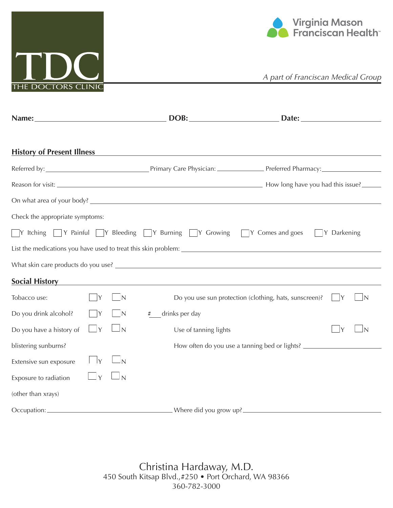



|                                   |                            |                | DOB:                                                                                                          |                                                                                  |
|-----------------------------------|----------------------------|----------------|---------------------------------------------------------------------------------------------------------------|----------------------------------------------------------------------------------|
| <b>History of Present Illness</b> |                            |                | <u> 1989 - Jan James Barnett, fransk politik (d. 1989)</u>                                                    |                                                                                  |
|                                   |                            |                |                                                                                                               |                                                                                  |
|                                   |                            |                |                                                                                                               |                                                                                  |
|                                   |                            |                |                                                                                                               |                                                                                  |
| Check the appropriate symptoms:   |                            |                |                                                                                                               |                                                                                  |
|                                   |                            |                | $\Box$ Y Itching $\Box$ Y Painful $\Box$ Y Bleeding $\Box$ Y Burning $\Box$ Y Crowing $\Box$ Y Comes and goes | Y Darkening                                                                      |
|                                   |                            |                |                                                                                                               |                                                                                  |
|                                   |                            |                |                                                                                                               |                                                                                  |
| <b>Social History</b>             |                            |                |                                                                                                               |                                                                                  |
| Tobacco use:                      | Y                          | IN             |                                                                                                               | Do you use sun protection (clothing, hats, sunscreen)?                           |
| Do you drink alcohol?             | Y                          | $\overline{N}$ | drinks per day<br>#                                                                                           |                                                                                  |
| Do you have a history of          | IY                         | $\sqcup$ N     | Use of tanning lights                                                                                         | $\mathsf{Y}$                                                                     |
| blistering sunburns?              |                            |                |                                                                                                               | How often do you use a tanning bed or lights? __________________________________ |
| Extensive sun exposure            | $\mathsf{Y}$               | $\overline{N}$ |                                                                                                               |                                                                                  |
| Exposure to radiation             | $\overline{\phantom{a}}$ Y | $\sqcup$ N     |                                                                                                               |                                                                                  |
| (other than xrays)                |                            |                |                                                                                                               |                                                                                  |
| Occupation:                       |                            |                |                                                                                                               | Where did you grow up?                                                           |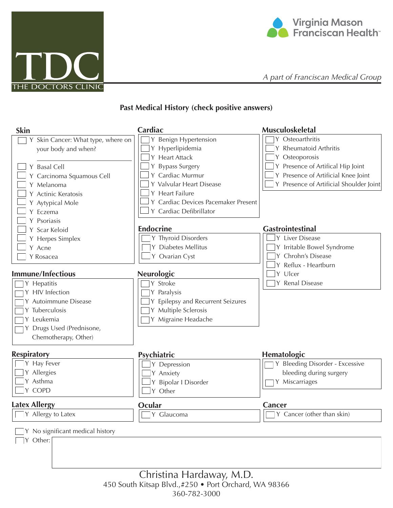



## **Past Medical History (check positive answers)**

| <b>Skin</b>                                                                                                                                                                                | Cardiac                                                                                                                                                                                                              | <b>Musculoskeletal</b>                                                                                                                                                                 |
|--------------------------------------------------------------------------------------------------------------------------------------------------------------------------------------------|----------------------------------------------------------------------------------------------------------------------------------------------------------------------------------------------------------------------|----------------------------------------------------------------------------------------------------------------------------------------------------------------------------------------|
| Y Skin Cancer: What type, where on<br>your body and when?<br>Y Basal Cell<br>Y Carcinoma Squamous Cell<br>Y Melanoma<br>Y Actinic Keratosis<br>Y Aytypical Mole<br>Y Eczema<br>Y Psoriasis | Y Benign Hypertension<br>Y Hyperlipidemia<br>Y Heart Attack<br>Y Bypass Surgery<br>Y Cardiac Murmur<br>Y Valvular Heart Disease<br>Y Heart Failure<br>Y Cardiac Devices Pacemaker Present<br>Y Cardiac Defibrillator | Y Osteoarthritis<br><b>Rheumatoid Arthritis</b><br>Osteoporosis<br>Y Presence of Artifical Hip Joint<br>Y Presence of Artificial Knee Joint<br>Y Presence of Artificial Shoulder Joint |
| Y Scar Keloid<br>Y Herpes Simplex<br>Y Acne<br>Y Rosacea                                                                                                                                   | <b>Endocrine</b><br>Y Thyroid Disorders<br>Y Diabetes Mellitus<br>Y Ovarian Cyst                                                                                                                                     | <b>Gastrointestinal</b><br>Y Liver Disease<br>Y Irritable Bowel Syndrome<br>Chrohn's Disease                                                                                           |
| <b>Immune/Infectious</b><br>Y Hepatitis<br>Y HIV Infection<br>Y Autoimmune Disease<br>Y Tuberculosis<br>Y Leukemia<br>Y Drugs Used (Prednisone,                                            | <b>Neurologic</b><br>Y Stroke<br>Y Paralysis<br>Y Epilepsy and Recurrent Seizures<br>Y Multiple Sclerosis<br>Y Migraine Headache                                                                                     | Reflux - Heartburn<br>Ulcer<br>Y<br>Y Renal Disease                                                                                                                                    |
| Chemotherapy, Other)<br><b>Respiratory</b><br>Y Hay Fever<br>Y Allergies<br>Y Asthma<br>Y COPD                                                                                             | Psychiatric<br>Y Depression<br>Y Anxiety<br>Y Bipolar I Disorder<br>Y Other                                                                                                                                          | Hematologic<br>Y Bleeding Disorder - Excessive<br>bleeding during surgery<br>Y Miscarriages                                                                                            |
| <b>Latex Allergy</b><br>Y Allergy to Latex<br>Y No significant medical history<br>Y Other:                                                                                                 | Ocular<br>Y Glaucoma                                                                                                                                                                                                 | Cancer<br>$\exists Y$ Cancer (other than skin)                                                                                                                                         |
|                                                                                                                                                                                            |                                                                                                                                                                                                                      |                                                                                                                                                                                        |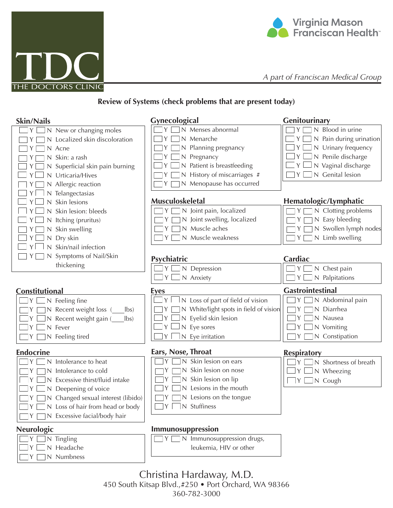



## **Review of Systems (check problems that are present today)**

| Skin/Nails                              | Gynecological                          | Genitourinary                |
|-----------------------------------------|----------------------------------------|------------------------------|
| Y<br>N New or changing moles            | N Menses abnormal                      | N Blood in urine<br>Y        |
| N Localized skin discoloration          | N Menarche                             | N Pain during urination<br>Y |
| N Acne<br>Y.                            | N Planning pregnancy                   | N Urinary frequency<br>Y.    |
| Skin: a rash                            | Pregnancy<br>N                         | N Penile discharge<br>Y      |
| Superficial skin pain burning           | Patient is breastfeeding               | N Vaginal discharge<br>Y     |
| Urticaria/Hives                         | N History of miscarriages #            | N Genital lesion<br>Y        |
| Allergic reaction                       | N Menopause has occurred               |                              |
| Telangectasias                          |                                        |                              |
| Skin lesions                            | <b>Musculoskeletal</b>                 | Hematologic/Lymphatic        |
| Skin lesion: bleeds                     | N Joint pain, localized                | N Clotting problems<br>Y.    |
| Itching (pruritus)                      | N Joint swelling, localized            | N Easy bleeding<br>Y         |
| Skin swelling<br>YI<br>N                | N Muscle aches                         | N Swollen lymph nodes<br>Y.  |
| Dry skin<br>Y l<br>N                    | N Muscle weakness                      | N Limb swelling<br>Y         |
| Skin/nail infection                     |                                        |                              |
| Symptoms of Nail/Skin                   | Psychiatric                            | Cardiac                      |
| thickening                              | $Y \square N$ Depression               | N Chest pain<br>$Y \mid$     |
|                                         | ΥL<br>$\Box$ N Anxiety                 | $\Box$ N Palpitations<br>Y   |
|                                         |                                        |                              |
| Constitutional                          | <b>Eyes</b>                            | <b>Gastrointestinal</b>      |
| Feeling fine<br>N                       | N Loss of part of field of vision      | N Abdominal pain<br>Y        |
| N Recent weight loss<br>$\mathsf{lbs}$  | N White/light spots in field of vision | N Diarrhea                   |
| Recent weight gain (<br>$\mathsf{lbs}$  | N Eyelid skin lesion                   | N Nausea<br>Y                |
| Fever<br>Y                              | N Eye sores                            | N Vomiting                   |
| N Feeling tired<br>Y                    | N Eye irritation                       | N Constipation<br>Y          |
| <b>Endocrine</b>                        | Ears, Nose, Throat                     | <b>Respiratory</b>           |
| Intolerance to heat                     | Skin lesion on ears                    | N Shortness of breath        |
| Intolerance to cold                     | N Skin lesion on nose                  | N Wheezing<br>$Y \mid$       |
| Excessive thirst/fluid intake           | N Skin lesion on lip                   | N Cough<br>Y                 |
| Deepening of voice                      | Lesions in the mouth                   |                              |
| N Changed sexual interest (libido)<br>Y | N Lesions on the tongue                |                              |
| N Loss of hair from head or body<br>Y.  | N Stuffiness<br>IY.                    |                              |
| N Excessive facial/body hair            |                                        |                              |
|                                         |                                        |                              |
| <b>Neurologic</b>                       | Immunosuppression                      |                              |
| Tingling                                | N Immunosuppression drugs,             |                              |
| N Headache                              | leukemia, HIV or other                 |                              |
| Numbness<br>N.                          |                                        |                              |
|                                         |                                        |                              |